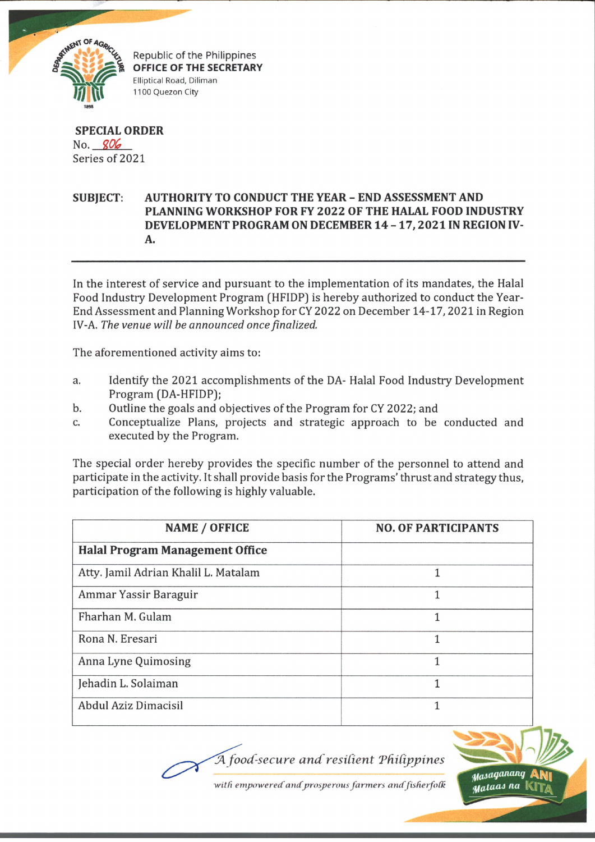

Republic of the Philippines **OFFICE OF THE SECRETARY** Elliptical Road, Diliman 1100 Quezon City

**SPECIAL ORDER** No. 806 Series of 2021

## **SUBJECT: AUTHORITY TO CONDUCT THE YEAR - END ASSESSMENT AND PLANNING WORKSHOP FOR FY 2022 OF THE HALAL FOOD INDUSTRY DEVELOPMENT PROGRAM ON DECEMBER 14 - 17,2021 IN REGION IV-A.**

In the interest of service and pursuant to the implementation of its mandates, the Halal Food Industry Development Program (HFIDP) is hereby authorized to conduct the Year-End Assessment and Planning Workshop for CY 2022 on December 14-17,2021 in Region IV-A. *The venue will be announced once finalized.*

The aforementioned activity aims to:

- a. Identify the 2021 accomplishments of the DA- Halal Food Industry Development Program (DA-HFIDP);
- b. Outline the goals and objectives of the Program for CY 2022; and
- c. Conceptualize Plans, projects and strategic approach to be conducted and executed by the Program.

The special order hereby provides the specific number of the personnel to attend and participate in the activity. It shall provide basis for the Programs' thrust and strategy thus, participation of the following is highly valuable.

| <b>NO. OF PARTICIPANTS</b> |
|----------------------------|
|                            |
|                            |
| 1                          |
| 1                          |
| 1                          |
| 1                          |
| 1                          |
| 1                          |
|                            |

*JA food-secure a n d resilient TfiiCippines*

with empowered and prosperous farmers and fisherfolk